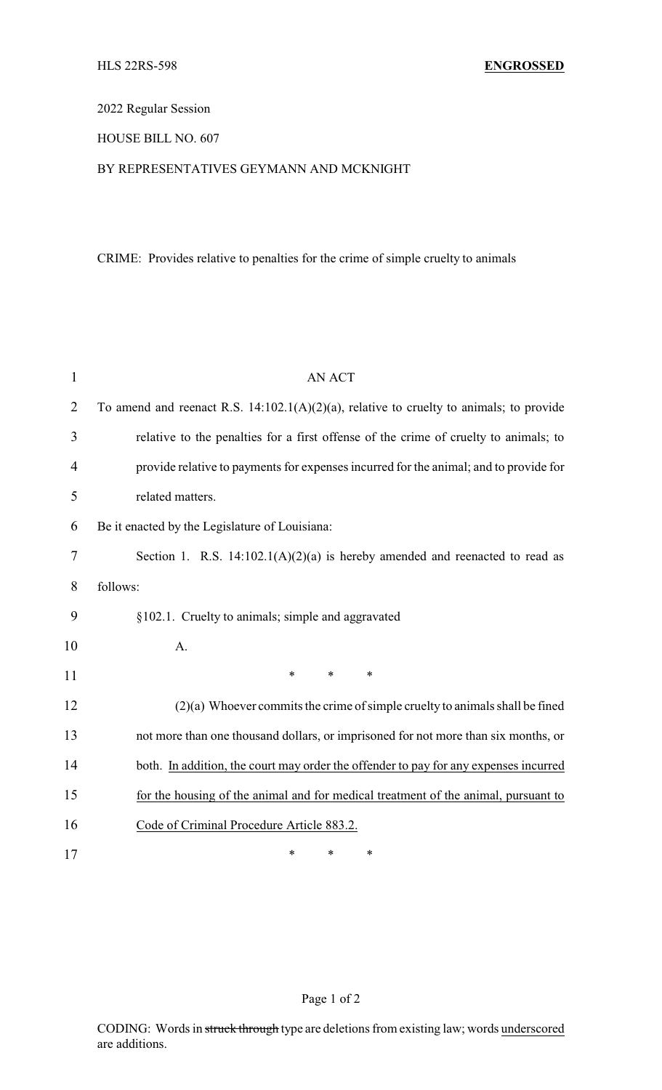2022 Regular Session

HOUSE BILL NO. 607

## BY REPRESENTATIVES GEYMANN AND MCKNIGHT

CRIME: Provides relative to penalties for the crime of simple cruelty to animals

| 1              | <b>AN ACT</b>                                                                              |  |
|----------------|--------------------------------------------------------------------------------------------|--|
| $\overline{2}$ | To amend and reenact R.S. $14:102.1(A)(2)(a)$ , relative to cruelty to animals; to provide |  |
| 3              | relative to the penalties for a first offense of the crime of cruelty to animals; to       |  |
| 4              | provide relative to payments for expenses incurred for the animal; and to provide for      |  |
| 5              | related matters.                                                                           |  |
| 6              | Be it enacted by the Legislature of Louisiana:                                             |  |
| $\tau$         | Section 1. R.S. $14:102.1(A)(2)(a)$ is hereby amended and reenacted to read as             |  |
| 8              | follows:                                                                                   |  |
| 9              | §102.1. Cruelty to animals; simple and aggravated                                          |  |
| 10             | A.                                                                                         |  |
| 11             | $\ast$<br>$\ast$<br>$\ast$                                                                 |  |
| 12             | $(2)(a)$ Whoever commits the crime of simple cruelty to animals shall be fined             |  |
| 13             | not more than one thousand dollars, or imprisoned for not more than six months, or         |  |
| 14             | both. In addition, the court may order the offender to pay for any expenses incurred       |  |
| 15             | for the housing of the animal and for medical treatment of the animal, pursuant to         |  |
| 16             | Code of Criminal Procedure Article 883.2.                                                  |  |
| 17             | ∗<br>$\ast$<br>∗                                                                           |  |